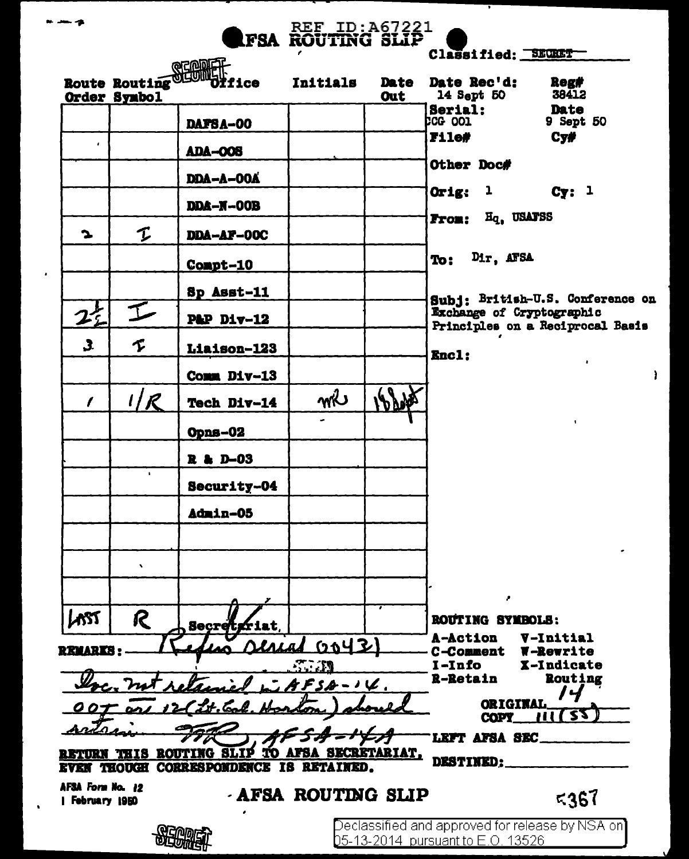| .                                          |                     |                                                                  | <b>FSA ROUTING SLIP</b>               |     |                                   |                                                               |
|--------------------------------------------|---------------------|------------------------------------------------------------------|---------------------------------------|-----|-----------------------------------|---------------------------------------------------------------|
|                                            |                     |                                                                  |                                       |     | Classified: SECRET                |                                                               |
|                                            |                     | Route Routing CODERT<br>Route Routing Country of fice            | <b>Initials</b>                       |     | Date Date Rec'd:                  | <b>Reg#</b>                                                   |
|                                            | Order Synbol        |                                                                  |                                       | Out | 14 Sept 50                        | 38412                                                         |
|                                            |                     | <b>DAFSA-00</b>                                                  |                                       |     | <b>Serial:<br/>CG 001</b>         | Date<br>9 Sept 50                                             |
| $\bullet$                                  |                     |                                                                  |                                       |     | F11e#                             | C <sub>Y</sub>                                                |
|                                            |                     | <b>ADA-008</b>                                                   |                                       |     | <b>Other Doc#</b>                 |                                                               |
|                                            |                     | <b>DDA-A-00A</b>                                                 |                                       |     |                                   |                                                               |
|                                            |                     | DDA-N-OOB                                                        |                                       |     | Orig: $1$                         | Cy: 1                                                         |
| $\mathbf{r}$                               | I                   | DDA-AF-00C                                                       |                                       |     | From: Hq. USAFSS                  |                                                               |
|                                            |                     | Compt-10                                                         |                                       |     | Dir, AFSA<br>To:                  |                                                               |
|                                            |                     | Sp Asst-11                                                       |                                       |     |                                   |                                                               |
|                                            | $\mathcal{I}$       |                                                                  |                                       |     |                                   | Subj: British-U.S. Conference on<br>Exchange of Cryptographic |
| $2^{+}$                                    |                     | P&P Div-12                                                       |                                       |     |                                   | Principles on a Reciprocal Basis                              |
| $\mathbf{3}$                               | $\boldsymbol{\tau}$ | Liaison-123                                                      |                                       |     | <b>Encl:</b>                      |                                                               |
|                                            |                     | Comm Div-13                                                      |                                       |     |                                   | $\lambda$                                                     |
| $\prime$                                   | 1/R                 | Tech Div-14                                                      | mi                                    |     |                                   |                                                               |
|                                            |                     | Opns-02                                                          |                                       |     |                                   | $\blacksquare$                                                |
|                                            | $\mathbf{L}$        | R & D-03                                                         |                                       |     |                                   |                                                               |
|                                            |                     | Security-04                                                      |                                       |     |                                   |                                                               |
|                                            |                     | Admin-05                                                         |                                       |     |                                   |                                                               |
|                                            |                     |                                                                  |                                       |     |                                   |                                                               |
|                                            | ٠                   |                                                                  |                                       |     |                                   |                                                               |
| AST                                        | R                   | <b>Secretion</b>                                                 |                                       |     | ,<br>ROUTING SYMBOLS:             |                                                               |
|                                            |                     | LALAL                                                            | <u>(coyz)</u>                         |     | A-Action                          | V-Initial                                                     |
| <b>REMARKS:</b>                            |                     |                                                                  | $\mathcal{L} \rightarrow \mathcal{L}$ |     | <b>C-Comment</b><br>I-Info        | <b>W-Rewrite</b><br>X-Indicate                                |
|                                            | not retain          |                                                                  | $AKFSA-1V$                            |     | <b>R-Retain</b>                   | Routing                                                       |
|                                            | OOT and 12          | ZH. Eal                                                          |                                       |     | <b>ORIGINAL</b>                   |                                                               |
|                                            |                     |                                                                  |                                       |     | COPY_                             | 72                                                            |
|                                            |                     |                                                                  |                                       |     | LEFT AFSA SEC                     |                                                               |
| <b>PETURN</b><br><b>EVEN THOUGH</b>        | LTIS                | ROUTING SLIP TO AFSA SECRETARIAT,<br>CORRESPONDENCE IS RETAINED. |                                       |     | <b>DESTINED:</b>                  |                                                               |
| <b>AFSA Form No. 12</b><br>  February 1950 |                     |                                                                  | <b>AFSA ROUTING SLIP</b>              |     |                                   | 5367                                                          |
|                                            |                     |                                                                  |                                       |     |                                   |                                                               |
|                                            |                     |                                                                  |                                       |     | 05-13-2014 pursuant to E.O. 13526 | Declassified and approved for release by NSA on]              |

x